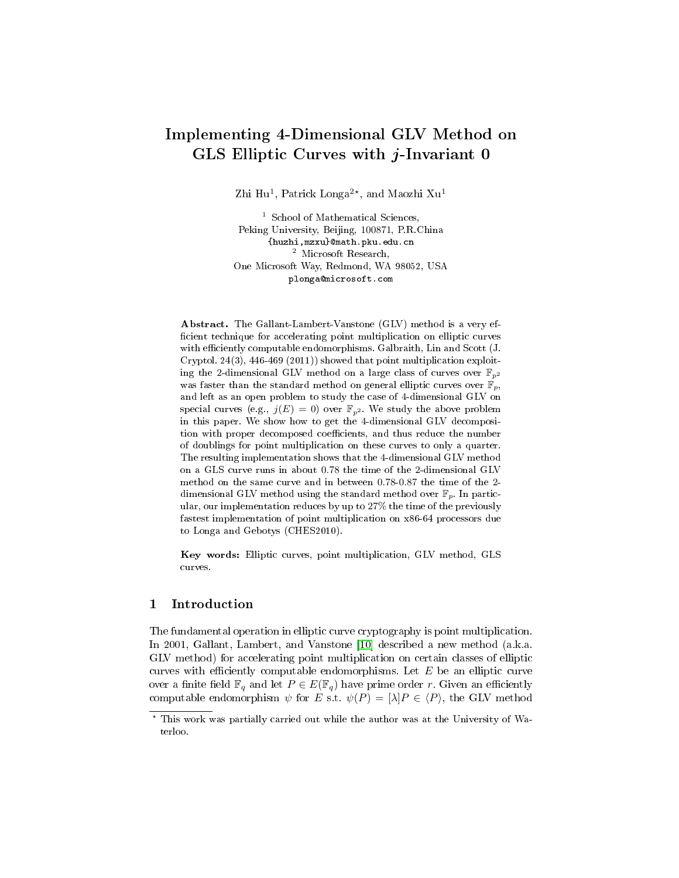# Implementing 4-Dimensional GLV Method on GLS Elliptic Curves with j-Invariant 0

Zhi Hu<sup>1</sup>, Patrick Longa<sup>2\*</sup>, and Maozhi Xu<sup>1</sup>

<sup>1</sup> School of Mathematical Sciences, Peking University, Beijing, 100871, P.R.China {huzhi,mzxu}@math.pku.edu.cn <sup>2</sup> Microsoft Research, One Microsoft Way, Redmond, WA 98052, USA plonga@microsoft.com

Abstract. The Gallant-Lambert-Vanstone (GLV) method is a very ef ficient technique for accelerating point multiplication on elliptic curves with efficiently computable endomorphisms. Galbraith, Lin and Scott (J. Cryptol. 24(3), 446-469 (2011)) showed that point multiplication exploiting the 2-dimensional GLV method on a large class of curves over  $\mathbb{F}_{p^2}$ was faster than the standard method on general elliptic curves over  $\mathbb{F}_p$ , and left as an open problem to study the case of 4-dimensional GLV on special curves (e.g.,  $j(E) = 0$ ) over  $\mathbb{F}_{p^2}$ . We study the above problem in this paper. We show how to get the 4-dimensional GLV decomposition with proper decomposed coefficients, and thus reduce the number of doublings for point multiplication on these curves to only a quarter. The resulting implementation shows that the 4-dimensional GLV method on a GLS curve runs in about 0.78 the time of the 2-dimensional GLV method on the same curve and in between 0.78-0.87 the time of the 2 dimensional GLV method using the standard method over  $\mathbb{F}_p$ . In particular, our implementation reduces by up to 27% the time of the previously fastest implementation of point multiplication on x86-64 processors due to Longa and Gebotys (CHES2010).

Key words: Elliptic curves, point multiplication, GLV method, GLS curves.

#### 1 Introduction

The fundamental operation in elliptic curve cryptography is point multiplication. In 2001, Gallant, Lambert, and Vanstone [\[10\]](#page-14-0) described a new method (a.k.a. GLV method) for accelerating point multiplication on certain classes of elliptic curves with efficiently computable endomorphisms. Let  $E$  be an elliptic curve over a finite field  $\mathbb{F}_q$  and let  $P \in E(\mathbb{F}_q)$  have prime order r. Given an efficiently computable endomorphism  $\psi$  for E s.t.  $\psi(P) = [\lambda]P \in \langle P \rangle$ , the GLV method

<sup>?</sup> This work was partially carried out while the author was at the University of Waterloo.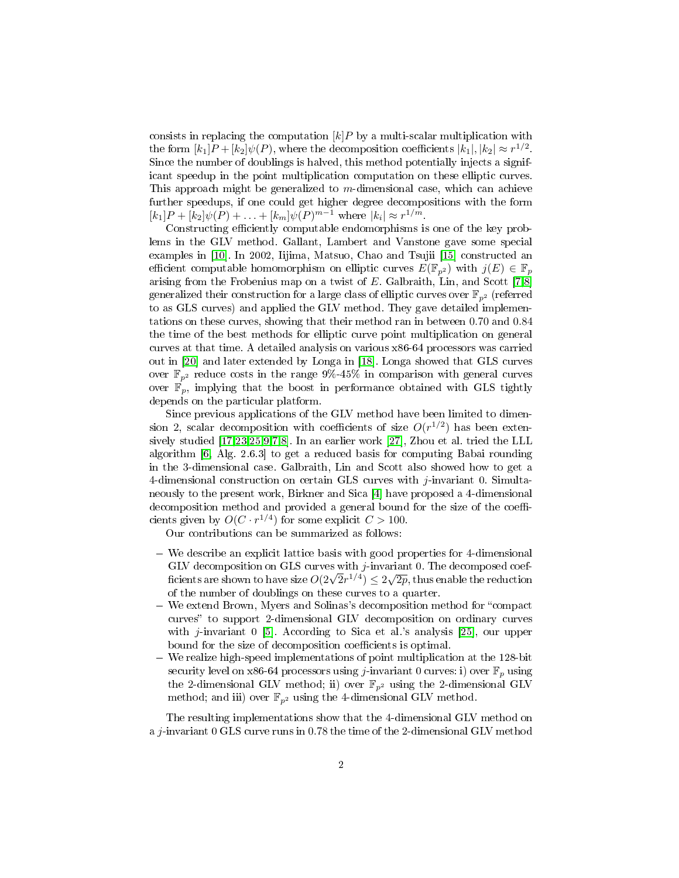consists in replacing the computation  $[k]P$  by a multi-scalar multiplication with the form  $[k_1]P + [k_2] \psi(P)$ , where the decomposition coefficients  $|k_1|, |k_2| \approx r^{1/2}$ . Since the number of doublings is halved, this method potentially injects a significant speedup in the point multiplication computation on these elliptic curves. This approach might be generalized to  $m$ -dimensional case, which can achieve further speedups, if one could get higher degree decompositions with the form  $[k_1]P + [k_2]\psi(P) + \ldots + [k_m]\psi(P)^{m-1}$  where  $|k_i| \approx r^{1/m}$ .

Constructing efficiently computable endomorphisms is one of the key problems in the GLV method. Gallant, Lambert and Vanstone gave some special examples in [\[10\]](#page-14-0). In 2002, Iijima, Matsuo, Chao and Tsujii [\[15\]](#page-14-1) constructed an efficient computable homomorphism on elliptic curves  $E(\mathbb{F}_{p^2})$  with  $j(E) \in \mathbb{F}_p$ arising from the Frobenius map on a twist of E. Galbraith, Lin, and Scott [\[7,](#page-14-2)[8\]](#page-14-3) generalized their construction for a large class of elliptic curves over  $\mathbb{F}_{n^2}$  (referred to as GLS curves) and applied the GLV method. They gave detailed implementations on these curves, showing that their method ran in between 0.70 and 0.84 the time of the best methods for elliptic curve point multiplication on general curves at that time. A detailed analysis on various x86-64 processors was carried out in [\[20\]](#page-14-4) and later extended by Longa in [\[18\]](#page-14-5). Longa showed that GLS curves over  $\mathbb{F}_{p^2}$  reduce costs in the range 9%-45% in comparison with general curves over  $\mathbb{F}_p$ , implying that the boost in performance obtained with GLS tightly depends on the particular platform.

Since previous applications of the GLV method have been limited to dimension 2, scalar decomposition with coefficients of size  $O(r^{1/2})$  has been extensively studied [\[17,](#page-14-6)[23,](#page-14-7)[25](#page-14-8)[,9,](#page-14-9)[7,](#page-14-2)[8\]](#page-14-3). In an earlier work [\[27\]](#page-15-0), Zhou et al. tried the LLL algorithm [\[6,](#page-14-10) Alg. 2.6.3] to get a reduced basis for computing Babai rounding in the 3-dimensional case. Galbraith, Lin and Scott also showed how to get a 4-dimensional construction on certain GLS curves with  $j$ -invariant 0. Simultaneously to the present work, Birkner and Sica [\[4\]](#page-13-0) have proposed a 4-dimensional decomposition method and provided a general bound for the size of the coefficients given by  $O(C \cdot r^{1/4})$  for some explicit  $C > 100$ .

Our contributions can be summarized as follows:

- We describe an explicit lattice basis with good properties for 4-dimensional GLV decomposition on GLS curves with  $j$ -invariant 0. The decomposed coef-GLV decomposition on GLS curves with j-invariant 0. The decomposed coefficients are shown to have size  $O(2\sqrt{2}r^{1/4}) \leq 2\sqrt{2p},$  thus enable the reduction of the number of doublings on these curves to a quarter.
- We extend Brown, Myers and Solinas's decomposition method for "compact" curves" to support 2-dimensional GLV decomposition on ordinary curves with *j*-invariant 0 [\[5\]](#page-13-1). According to Sica et al.'s analysis [\[25\]](#page-14-8), our upper bound for the size of decomposition coefficients is optimal.
- We realize high-speed implementations of point multiplication at the 128-bit security level on x86-64 processors using j-invariant 0 curves: i) over  $\mathbb{F}_p$  using the 2-dimensional GLV method; ii) over  $\mathbb{F}_{p^2}$  using the 2-dimensional GLV method; and iii) over  $\mathbb{F}_{p^2}$  using the 4-dimensional GLV method.

The resulting implementations show that the 4-dimensional GLV method on a  $j$ -invariant 0 GLS curve runs in 0.78 the time of the 2-dimensional GLV method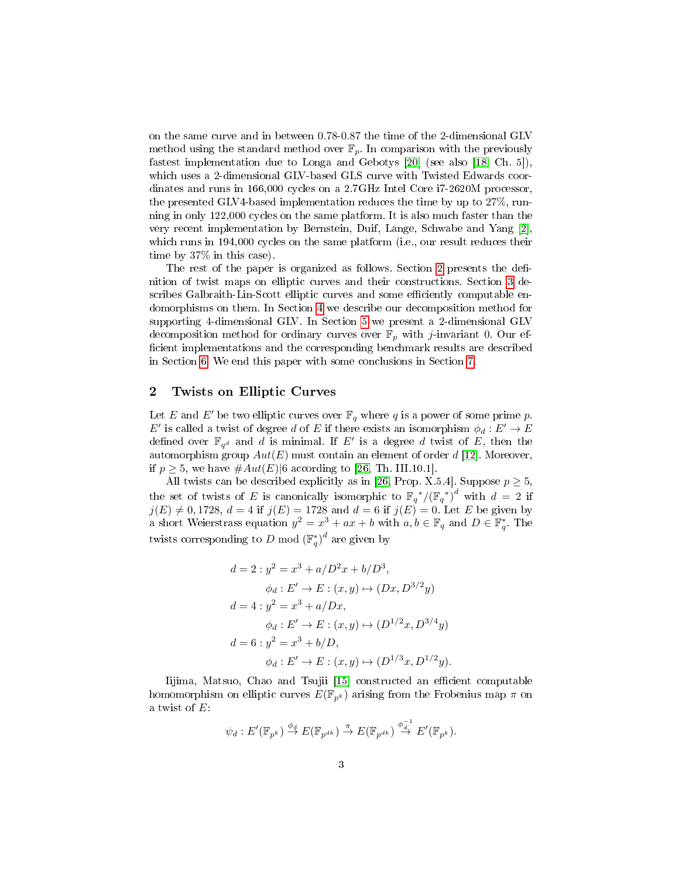on the same curve and in between 0.78-0.87 the time of the 2-dimensional GLV method using the standard method over  $\mathbb{F}_p$ . In comparison with the previously fastest implementation due to Longa and Gebotys [\[20\]](#page-14-4) (see also [\[18,](#page-14-5) Ch. 5]), which uses a 2-dimensional GLV-based GLS curve with Twisted Edwards coordinates and runs in 166,000 cycles on a 2.7GHz Intel Core i7-2620M processor, the presented GLV4-based implementation reduces the time by up to 27%, running in only 122,000 cycles on the same platform. It is also much faster than the very recent implementation by Bernstein, Duif, Lange, Schwabe and Yang [\[2\]](#page-13-2), which runs in 194,000 cycles on the same platform (i.e., our result reduces their time by 37% in this case).

The rest of the paper is organized as follows. Section [2](#page-2-0) presents the definition of twist maps on elliptic curves and their constructions. Section [3](#page-3-0) describes Galbraith-Lin-Scott elliptic curves and some efficiently computable endomorphisms on them. In Section [4](#page-3-1) we describe our decomposition method for supporting 4-dimensional GLV. In Section [5](#page-7-0) we present a 2-dimensional GLV decomposition method for ordinary curves over  $\mathbb{F}_p$  with *j*-invariant 0. Our efficient implementations and the corresponding benchmark results are described in Section [6.](#page-8-0) We end this paper with some conclusions in Section [7.](#page-13-3)

### <span id="page-2-0"></span>2 Twists on Elliptic Curves

Let E and E' be two elliptic curves over  $\mathbb{F}_q$  where q is a power of some prime p.  $E'$  is called a twist of degree d of E if there exists an isomorphism  $\phi_d : E' \to E$ defined over  $\mathbb{F}_{q^d}$  and d is minimal. If E' is a degree d twist of E, then the automorphism group  $Aut(E)$  must contain an element of order d [\[12\]](#page-14-11). Moreover, if  $p \geq 5$ , we have  $\#Aut(E)|6$  according to [\[26,](#page-15-1) Th. III.10.1].

All twists can be described explicitly as in [\[26,](#page-15-1) Prop. X.5.4]. Suppose  $p \geq 5$ , the set of twists of E is canonically isomorphic to  $\mathbb{F}_q^*/(\mathbb{F}_q^*)^d$  with  $d=2$  if  $j(E) \neq 0, 1728, d = 4$  if  $j(E) = 1728$  and  $d = 6$  if  $j(E) = 0$ . Let E be given by a short Weierstrass equation  $y^2 = x^3 + ax + b$  with  $a, b \in \mathbb{F}_q$  and  $D \in \mathbb{F}_q^*$ . The twists corresponding to D mod  $\left(\mathbb{F}_q^*\right)^d$  are given by

$$
d = 2: y^2 = x^3 + a/D^2x + b/D^3,
$$
  
\n
$$
\phi_d: E' \to E: (x, y) \mapsto (Dx, D^{3/2}y)
$$
  
\n
$$
d = 4: y^2 = x^3 + a/Dx,
$$
  
\n
$$
\phi_d: E' \to E: (x, y) \mapsto (D^{1/2}x, D^{3/4}y)
$$
  
\n
$$
d = 6: y^2 = x^3 + b/D,
$$
  
\n
$$
\phi_d: E' \to E: (x, y) \mapsto (D^{1/3}x, D^{1/2}y).
$$

Iijima, Matsuo, Chao and Tsujii [\[15\]](#page-14-1) constructed an efficient computable homomorphism on elliptic curves  $E(\mathbb{F}_{p^k})$  arising from the Frobenius map  $\pi$  on a twist of E:

$$
\psi_d: E'(\mathbb{F}_{p^k}) \stackrel{\phi_d}{\to} E(\mathbb{F}_{p^{dk}}) \stackrel{\pi}{\to} E(\mathbb{F}_{p^{dk}}) \stackrel{\phi_d^{-1}}{\to} E'(\mathbb{F}_{p^k}).
$$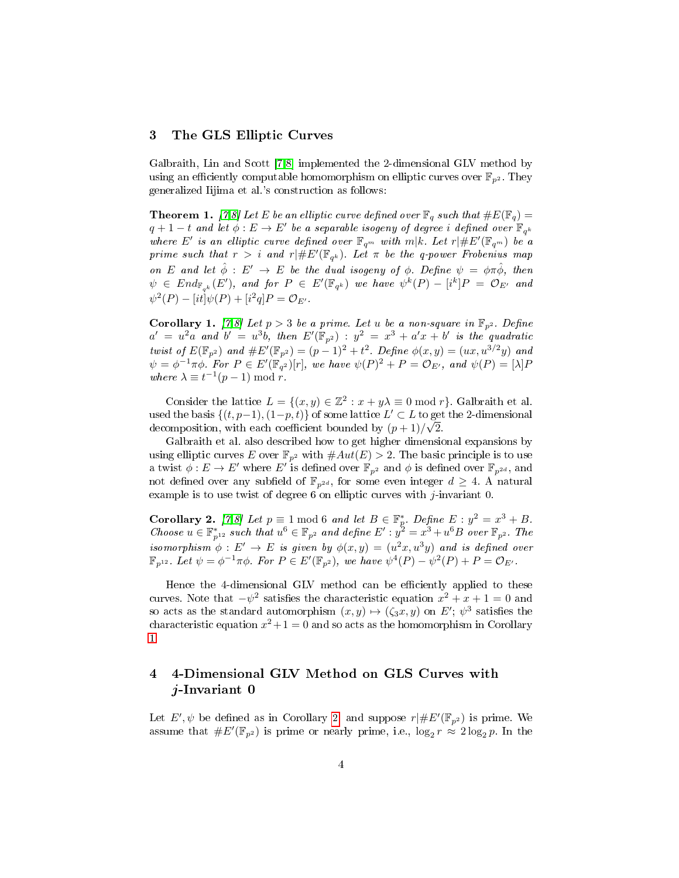### <span id="page-3-0"></span>3 The GLS Elliptic Curves

Galbraith, Lin and Scott [\[7](#page-14-2)[,8\]](#page-14-3) implemented the 2-dimensional GLV method by using an efficiently computable homomorphism on elliptic curves over  $\mathbb{F}_{p^2}$ . They generalized Iijima et al.'s construction as follows:

<span id="page-3-4"></span>**Theorem 1.** [\[7](#page-14-2)[,8\]](#page-14-3) Let E be an elliptic curve defined over  $\mathbb{F}_q$  such that  $\#E(\mathbb{F}_q)$  =  $q+1-t$  and let  $\dot{\phi}:E\to E'$  be a separable isogeny of degree i defined over  $\mathbb{F}_{q^k}$ where E' is an elliptic curve defined over  $\mathbb{F}_{q^m}$  with  $m|k$ . Let  $r|\#E'(\mathbb{F}_{q^m})$  be  $a$ prime such that  $r > i$  and  $r | \# E'(\mathbb{F}_{q^k})$ . Let  $\pi$  be the q-power Frobenius map on E and let  $\hat{\phi}: E' \to E$  be the dual isogeny of  $\phi$ . Define  $\psi = \phi \pi \hat{\phi}$ , then  $\psi \in \mathit{End}_{\mathbb{F}_{q^k}}(E'),$  and for  $P \in E'(\mathbb{F}_{q^k})$  we have  $\psi^k(P) - [i^k]P = \mathcal{O}_{E'}$  and  $\psi^2(P) - [it] \psi(P) + [i^2q] P = \mathcal{O}_{E}.$ 

<span id="page-3-2"></span>**Corollary 1.** [\[7,](#page-14-2)[8\]](#page-14-3) Let  $p > 3$  be a prime. Let u be a non-square in  $\mathbb{F}_{p^2}$ . Define  $a' = u^2 a$  and  $b' = u^3 b$ , then  $E'(\mathbb{F}_{p^2})$  :  $y^2 = x^3 + a'x + b'$  is the quadratic twist of  $E(\mathbb{F}_{p^2})$  and  $\#E'(\mathbb{F}_{p^2}) = (p-1)^2 + t^2$ . Define  $\phi(x,y) = (ux, u^{3/2}y)$  and  $\psi = \phi^{-1}\pi\phi$ . For  $P \in E'(\mathbb{F}_{q^2})[r]$ , we have  $\psi(P)^2 + P = \mathcal{O}_{E'}$ , and  $\psi(P) = [\lambda]P$ where  $\lambda \equiv t^{-1}(p-1) \bmod r$ .

Consider the lattice  $L = \{(x, y) \in \mathbb{Z}^2 : x + y\lambda \equiv 0 \text{ mod } r\}$ . Galbraith et al. used the basis  $\{(t, p-1), (1-p, t)\}\$  of some lattice  $L' \subset L$  to get the 2-dimensional decomposition, with each coefficient bounded by  $(p+1)/\sqrt{2}$ .

Galbraith et al. also described how to get higher dimensional expansions by using elliptic curves  $E$  over  $\mathbb{F}_{p^2}$  with  $\#Aut(E) > 2$ . The basic principle is to use a twist  $\phi: E \to E'$  where  $E'$  is defined over  $\mathbb{F}_{p^2}$  and  $\phi$  is defined over  $\mathbb{F}_{p^{2d}}$ , and not defined over any subfield of  $\mathbb{F}_{p^{2d}}$ , for some even integer  $d \geq 4$ . A natural example is to use twist of degree 6 on elliptic curves with j-invariant 0.

<span id="page-3-3"></span>**Corollary 2.** [\[7,](#page-14-2)[8\]](#page-14-3) Let  $p \equiv 1 \mod 6$  and let  $B \in \mathbb{F}_p^*$ . Define  $E : y^2 = x^3 + B$ . Choose  $u \in \mathbb{F}_{p^{12}}^*$  such that  $u^6 \in \mathbb{F}_{p^2}$  and define  $E': y^2 = x^3 + u^6B$  over  $\mathbb{F}_{p^2}$ . The isomorphism  $\phi: E' \to E$  is given by  $\phi(x,y) = (u^2x, u^3y)$  and is defined over  $\mathbb{F}_{p^{12}}$ . Let  $\psi = \phi^{-1}\pi\phi$ . For  $P \in E'(\mathbb{F}_{p^2})$ , we have  $\psi^4(P) - \psi^2(P) + P = \mathcal{O}_{E'}$ .

Hence the 4-dimensional GLV method can be efficiently applied to these curves. Note that  $-\psi^2$  satisfies the characteristic equation  $x^2 + x + 1 = 0$  and so acts as the standard automorphism  $(x, y) \mapsto (\zeta_3 x, y)$  on  $E'; \psi^3$  satisfies the characteristic equation  $x^2+1=0$  and so acts as the homomorphism in Corollary [1.](#page-3-2)

# <span id="page-3-1"></span>4 4-Dimensional GLV Method on GLS Curves with j-Invariant 0

Let  $E', \psi$  be defined as in Corollary [2,](#page-3-3) and suppose  $r | \# E'(\mathbb{F}_{p^2})$  is prime. We assume that  $\#E'(\mathbb{F}_{p^2})$  is prime or nearly prime, i.e.,  $\log_2 r \approx 2 \log_2 p$ . In the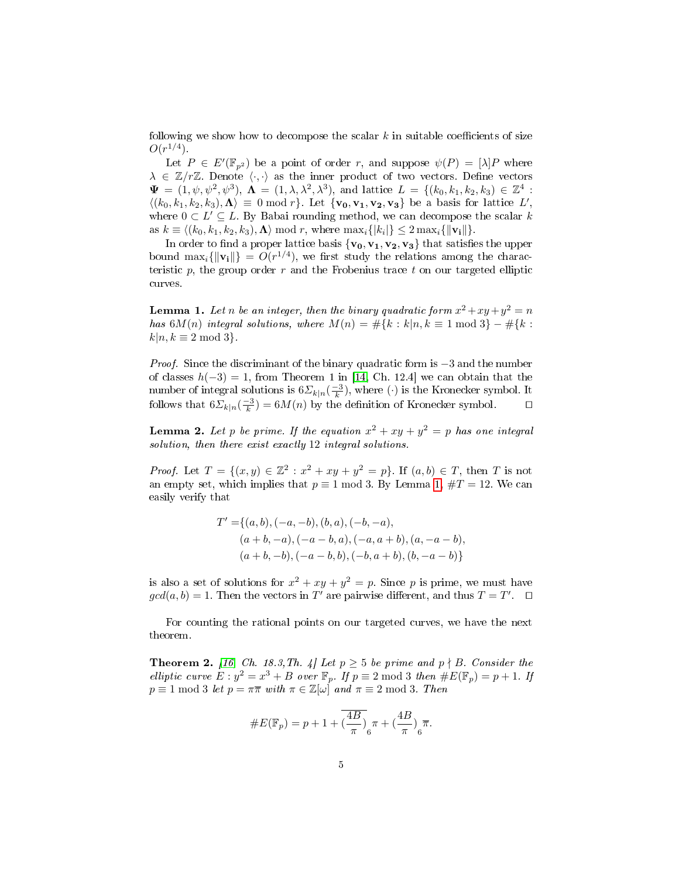following we show how to decompose the scalar  $k$  in suitable coefficients of size  $O(r^{1/4})$ .

Let  $P \in E'(\mathbb{F}_{p^2})$  be a point of order r, and suppose  $\psi(P) = [\lambda]P$  where  $\lambda \in \mathbb{Z}/r\mathbb{Z}$ . Denote  $\langle \cdot, \cdot \rangle$  as the inner product of two vectors. Define vectors  $\Psi = (1, \psi, \psi^2, \psi^3), \Lambda = (1, \lambda, \lambda^2, \lambda^3), \text{ and lattice } L = \{(k_0, k_1, k_2, k_3) \in \mathbb{Z}^4 :$  $\langle (k_0, k_1, k_2, k_3), \Lambda \rangle \equiv 0 \bmod r$ . Let  $\{v_0, v_1, v_2, v_3\}$  be a basis for lattice L', where  $0 \subset L' \subseteq L$ . By Babai rounding method, we can decompose the scalar k as  $k \equiv \langle (k_0, k_1, k_2, k_3), \Lambda \rangle \bmod r$ , where  $\max_i \{|k_i|\} \leq 2 \max_i \{ \|\mathbf{v_i}\| \}.$ 

In order to find a proper lattice basis  $\{v_0, v_1, v_2, v_3\}$  that satisfies the upper bound  $\max_i \{\|\mathbf{v_i}\|\} = O(r^{1/4})$ , we first study the relations among the characteristic p, the group order r and the Frobenius trace t on our targeted elliptic curves.

<span id="page-4-0"></span>**Lemma 1.** Let n be an integer, then the binary quadratic form  $x^2 + xy + y^2 = n$ has  $6M(n)$  integral solutions, where  $M(n) = \#\{k : k | n, k \equiv 1 \mod 3\} - \#\{k : k \}$  $k|n, k \equiv 2 \mod 3$ .

*Proof.* Since the discriminant of the binary quadratic form is  $-3$  and the number of classes  $h(-3) = 1$ , from Theorem 1 in [\[14,](#page-14-12) Ch. 12.4] we can obtain that the number of integral solutions is  $6\Sigma_{k|n}(\frac{-3}{k})$ , where  $(\cdot)$  is the Kronecker symbol. It follows that  $6\Sigma_{k|n}(\frac{-3}{k}) = 6M(n)$  by the definition of Kronecker symbol.  $\square$ 

<span id="page-4-1"></span>**Lemma 2.** Let p be prime. If the equation  $x^2 + xy + y^2 = p$  has one integral solution, then there exist exactly 12 integral solutions.

*Proof.* Let  $T = \{(x, y) \in \mathbb{Z}^2 : x^2 + xy + y^2 = p\}$ . If  $(a, b) \in T$ , then T is not an empty set, which implies that  $p \equiv 1 \mod 3$ . By Lemma [1,](#page-4-0)  $\#T = 12$ . We can easily verify that

$$
T' = \{(a, b), (-a, -b), (b, a), (-b, -a),(a + b, -a), (-a - b, a), (-a, a + b), (a, -a - b),(a + b, -b), (-a - b, b), (-b, a + b), (b, -a - b)\}
$$

is also a set of solutions for  $x^2 + xy + y^2 = p$ . Since p is prime, we must have  $gcd(a, b) = 1$ . Then the vectors in T' are pairwise different, and thus  $T = T'$ .  $\Box$ 

For counting the rational points on our targeted curves, we have the next theorem.

<span id="page-4-2"></span>**Theorem 2.** [\[16,](#page-14-13) Ch. 18.3, Th. 4] Let  $p \geq 5$  be prime and  $p \nmid B$ . Consider the elliptic curve  $E: y^2 = x^3 + B$  over  $\mathbb{F}_p$ . If  $p \equiv 2 \mod 3$  then  $\#E(\mathbb{F}_p) = p + 1$ . If  $p \equiv 1 \mod 3$  let  $p = \pi \overline{\pi}$  with  $\pi \in \mathbb{Z}[\omega]$  and  $\pi \equiv 2 \mod 3$ . Then

#E(Fp) = p + 1 + ( 4B π ) 6 <sup>π</sup> + (4<sup>B</sup> π ) 6 π.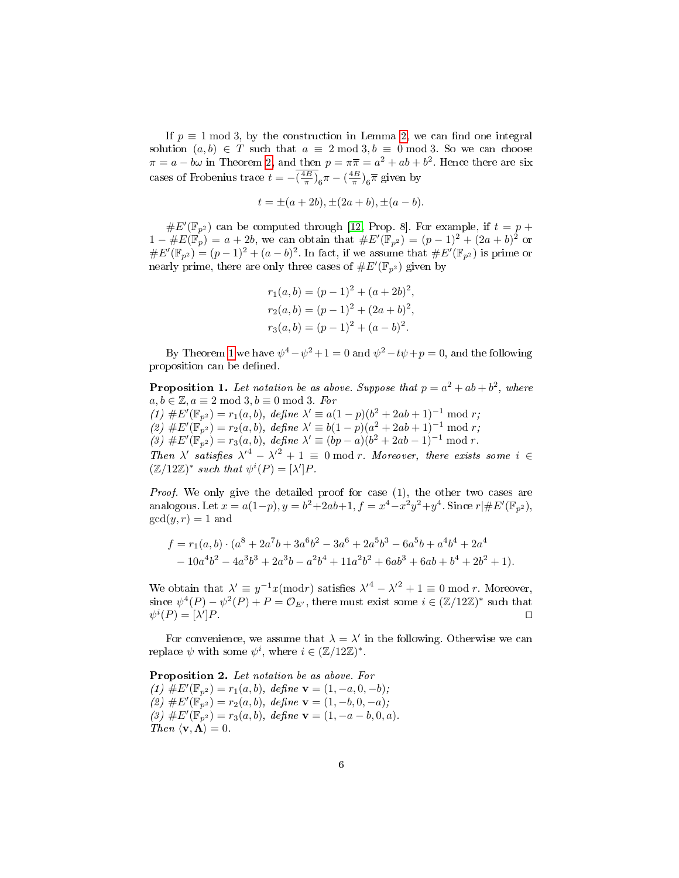If  $p \equiv 1 \mod 3$ , by the construction in Lemma [2,](#page-4-1) we can find one integral solution  $(a, b) \in T$  such that  $a \equiv 2 \mod 3$ ,  $b \equiv 0 \mod 3$ . So we can choose  $\pi = a - b\omega$  in Theorem [2,](#page-4-2) and then  $p = \pi \overline{\pi} = a^2 + ab + b^2$ . Hence there are six cases of Frobenius trace  $t = -\left(\frac{4B}{\pi}\right)_6 \pi - \left(\frac{4B}{\pi}\right)_6 \overline{\pi}$  given by

$$
t = \pm (a + 2b), \pm (2a + b), \pm (a - b).
$$

 $\#E'(\mathbb{F}_{p^2})$  can be computed through [\[12,](#page-14-11) Prop. 8]. For example, if  $t = p + 1$  $1 - \#E(\mathbb{F}_p) = a + 2b$ , we can obtain that  $\#E'(\mathbb{F}_{p^2}) = (p-1)^2 + (2a+b)^2$  or  $\#E'(\mathbb{F}_{p^2}) = (p-1)^2 + (a-b)^2$ . In fact, if we assume that  $\#E'(\mathbb{F}_{p^2})$  is prime or nearly prime, there are only three cases of  $#E'(\mathbb{F}_{p^2})$  given by

<span id="page-5-0"></span>
$$
r_1(a,b) = (p-1)^2 + (a+2b)^2,
$$
  
\n
$$
r_2(a,b) = (p-1)^2 + (2a+b)^2,
$$
  
\n
$$
r_3(a,b) = (p-1)^2 + (a-b)^2.
$$

By Theorem [1](#page-3-4) we have  $\psi^4 - \psi^2 + 1 = 0$  and  $\psi^2 - t\psi + p = 0$ , and the following proposition can be defined.

**Proposition 1.** Let notation be as above. Suppose that  $p = a^2 + ab + b^2$ , where  $a, b \in \mathbb{Z}, a \equiv 2 \mod 3, b \equiv 0 \mod 3$ . For (1)  $\#E'(\mathbb{F}_{p^2}) = r_1(a, b)$ , define  $\lambda' \equiv a(1-p)(b^2 + 2ab + 1)^{-1} \mod r$ ; (2)  $#E'(\mathbb{F}_{p^2}) = r_2(a, b)$ , define  $\lambda' \equiv b(1-p)(a^2 + 2ab + 1)^{-1} \mod r$ ; (3)  $\#E'(\mathbb{F}_{p^2}) = r_3(a, b)$ , define  $\lambda' \equiv (bp - a)(b^2 + 2ab - 1)^{-1} \mod r$ . Then  $\lambda'$  satisfies  $\lambda'^4 - {\lambda'}^2 + 1 \equiv 0 \bmod r$ . Moreover, there exists some  $i \in$  $(\mathbb{Z}/12\mathbb{Z})^*$  such that  $\psi^i(P) = [\lambda']P$ .

Proof. We only give the detailed proof for case (1), the other two cases are analogous. Let  $x = a(1-p)$ ,  $y = b^2 + 2ab + 1$ ,  $f = x^4 - x^2y^2 + y^4$ . Since  $r \mid \#E'(\mathbb{F}_{p^2})$ ,  $gcd(y, r) = 1$  and

$$
f = r_1(a, b) \cdot (a^8 + 2a^7b + 3a^6b^2 - 3a^6 + 2a^5b^3 - 6a^5b + a^4b^4 + 2a^4 - 10a^4b^2 - 4a^3b^3 + 2a^3b - a^2b^4 + 11a^2b^2 + 6ab^3 + 6ab + b^4 + 2b^2 + 1).
$$

We obtain that  $\lambda' \equiv y^{-1}x \pmod{r}$  satisfies  $\lambda'^4 - {\lambda'}^2 + 1 \equiv 0 \bmod{r}$ . Moreover, since  $\psi^4(P) - \psi^2(P) + P = \mathcal{O}_{E'}$ , there must exist some  $i \in (\mathbb{Z}/12\mathbb{Z})^*$  such that  $\psi^i(P) = [\lambda]$  $\Box$   $P$ .

For convenience, we assume that  $\lambda = \lambda'$  in the following. Otherwise we can replace  $\psi$  with some  $\psi^i$ , where  $i \in (\mathbb{Z}/12\mathbb{Z})^*$ .

Proposition 2. Let notation be as above. For (1)  $\overline{\#E}'(\mathbb{F}_{p^2}) = r_1(a, b), \text{ define } \mathbf{v} = (1, -a, 0, -b);$ (2)  $#E'(\mathbb{F}_{p^2}) = r_2(a, b)$ , define  $\mathbf{v} = (1, -b, 0, -a)$ ; (3)  $\#E'(\mathbb{F}_{p^2}) = r_3(a, b)$ , define  $\mathbf{v} = (1, -a - b, 0, a)$ . Then  $\langle \mathbf{v}, \mathbf{\Lambda} \rangle = 0$ .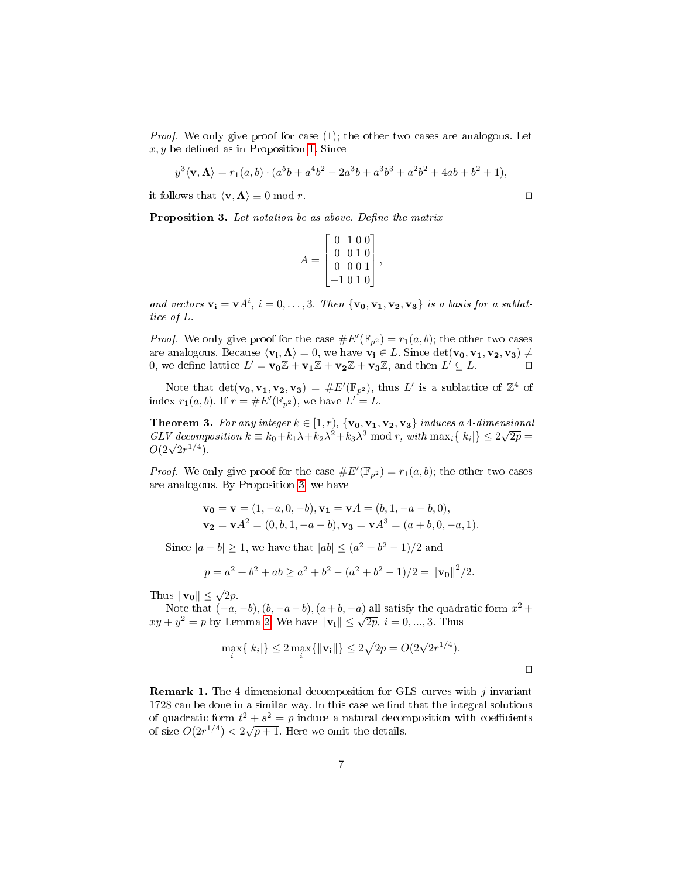*Proof.* We only give proof for case (1); the other two cases are analogous. Let  $x, y$  be defined as in Proposition [1.](#page-5-0) Since

$$
y^{3}\langle \mathbf{v}, \mathbf{\Lambda} \rangle = r_{1}(a, b) \cdot (a^{5}b + a^{4}b^{2} - 2a^{3}b + a^{3}b^{3} + a^{2}b^{2} + 4ab + b^{2} + 1),
$$

it follows that  $\langle v, \Lambda \rangle \equiv 0 \bmod r$ .

<span id="page-6-0"></span>**Proposition 3.** Let notation be as above. Define the matrix

$$
A = \begin{bmatrix} 0 & 1 & 0 & 0 \\ 0 & 0 & 1 & 0 \\ 0 & 0 & 0 & 1 \\ -1 & 0 & 1 & 0 \end{bmatrix}
$$

,

and vectors  $\mathbf{v_i} = \mathbf{v} A^i$ ,  $i = 0, \ldots, 3$ . Then  $\{v_0, v_1, v_2, v_3\}$  is a basis for a sublattice of L.

*Proof.* We only give proof for the case  $\#E'(\mathbb{F}_{p^2}) = r_1(a, b)$ ; the other two cases are analogous. Because  $\langle \mathbf v_{\mathbf i}, \mathbf \Lambda \rangle = 0,$  we have  $\mathbf v_{\mathbf i} \in L$ . Since  $\det(\mathbf v_{\mathbf 0}, \mathbf v_{\mathbf 1}, \mathbf v_{\mathbf 2}, \mathbf v_{\mathbf 3}) \neq 0$ 0, we define lattice  $L' = \mathbf{v_0}\mathbb{Z} + \mathbf{v_1}\mathbb{Z} + \mathbf{v_2}\mathbb{Z} + \mathbf{v_3}\mathbb{Z}$ , and then  $L' \subseteq L$ .

Note that  $\det(\mathbf{v_0}, \mathbf{v_1}, \mathbf{v_2}, \mathbf{v_3}) = \#E'(\mathbb{F}_{p^2})$ , thus L' is a sublattice of  $\mathbb{Z}^4$  of index  $r_1(a, b)$ . If  $r = \#E'(\mathbb{F}_{p^2})$ , we have  $L' = L$ .

**Theorem 3.** For any integer  $k \in [1, r)$ ,  $\{ \mathbf{v_0}, \mathbf{v_1}, \mathbf{v_2}, \mathbf{v_3} \}$  induces a  $4$  -dimensional **Theorem 3.** For any integer  $\kappa \in [1, r]$ ,  $\{v_0, v_1, v_2, v_3\}$  induces a 4-dimensional GLV decomposition  $k \equiv k_0 + k_1 \lambda + k_2 \lambda^2 + k_3 \lambda^3 \mod r$ , with  $\max_{i} \{|k_i|\} \leq 2\sqrt{2p} =$ GLV aecomp<br> $O(2\sqrt{2}r^{1/4}).$ 

*Proof.* We only give proof for the case  $\#E'(\mathbb{F}_{p^2}) = r_1(a, b)$ ; the other two cases are analogous. By Proposition [3,](#page-6-0) we have

$$
\mathbf{v_0} = \mathbf{v} = (1, -a, 0, -b), \mathbf{v_1} = \mathbf{v}A = (b, 1, -a - b, 0),
$$
  

$$
\mathbf{v_2} = \mathbf{v}A^2 = (0, b, 1, -a - b), \mathbf{v_3} = \mathbf{v}A^3 = (a + b, 0, -a, 1).
$$

Since  $|a - b| \ge 1$ , we have that  $|ab| \le (a^2 + b^2 - 1)/2$  and

$$
p = a2 + b2 + ab \ge a2 + b2 - (a2 + b2 - 1)/2 = ||\mathbf{v}_0||2/2.
$$

Thus  $\|\mathbf{v_0}\| \leq \sqrt{2p}$ .

Note that  $(-a, -b), (b, -a - b), (a + b, -a)$  all satisfy the quadratic form  $x^2 +$ Note that  $(-a, -b)$ ,  $(a, -a-b)$ ,  $(a+b, -a)$  and satisfy the quadrative  $xy + y^2 = p$  by Lemma [2.](#page-4-1) We have  $||\mathbf{v}_i|| \leq \sqrt{2p}$ ,  $i = 0, ..., 3$ . Thus

$$
\max_{i} \{|k_i|\} \le 2 \max_{i} \{\|\mathbf{v_i}\|\} \le 2\sqrt{2p} = O(2\sqrt{2}r^{1/4}).
$$

**Remark 1.** The 4 dimensional decomposition for GLS curves with  $j$ -invariant 1728 can be done in a similar way. In this case we find that the integral solutions of quadratic form  $t^2 + s^2 = p$  induce a natural decomposition with coefficients of size  $O(2r^{1/4}) < 2\sqrt{p+1}$ . Here we omit the details.

 $\Box$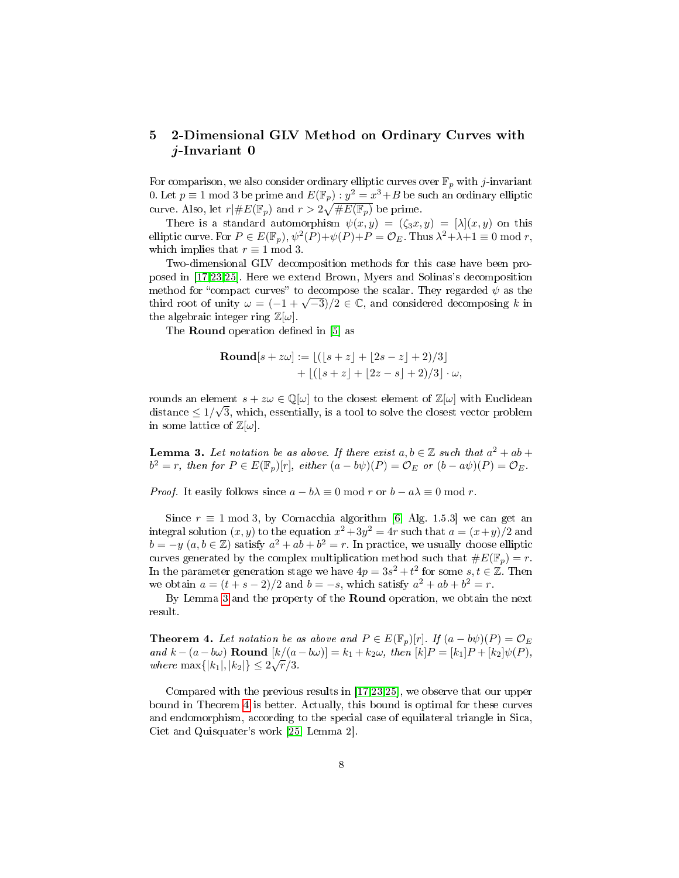# <span id="page-7-0"></span>5 2-Dimensional GLV Method on Ordinary Curves with j-Invariant 0

For comparison, we also consider ordinary elliptic curves over  $\mathbb{F}_p$  with j-invariant 0. Let  $p \equiv 1 \bmod{3}$  be prime and  $E(\mathbb{F}_p)$  :  $y^2 = x^3 + B$  be such an ordinary elliptic curve. Also, let  $r| \# E(\mathbb{F}_p)$  and  $r > 2\sqrt{\# E(\mathbb{F}_p)}$  be prime.

There is a standard automorphism  $\psi(x, y) = (\zeta_3 x, y) = [\lambda](x, y)$  on this elliptic curve. For  $P \in E(\mathbb{F}_p), \psi^2(P)+\psi(P)+P=\mathcal{O}_E$ . Thus  $\lambda^2+\lambda+1 \equiv 0 \bmod r$ , which implies that  $r \equiv 1 \mod 3$ .

Two-dimensional GLV decomposition methods for this case have been proposed in [\[17,](#page-14-6)[23](#page-14-7)[,25\]](#page-14-8). Here we extend Brown, Myers and Solinas's decomposition method for "compact curves" to decompose the scalar. They regarded  $\psi$  as the the final root of unity  $\omega = (-1 + \sqrt{-3})/2 \in \mathbb{C}$ , and considered decomposing k in the algebraic integer ring  $\mathbb{Z}[\omega]$ .

The **Round** operation defined in [\[5\]](#page-13-1) as

**Round**[
$$
s + z\omega
$$
] :=  $[(|s + z| + |2s - z| + 2)/3]$   
+  $|(|s + z| + |2z - s| + 2)/3| \cdot \omega$ ,

rounds an element  $s + z\omega \in \mathbb{Q}[\omega]$  to the closest element of  $\mathbb{Z}[\omega]$  with Euclidean distance  $\leq 1/\sqrt{3}$ , which, essentially, is a tool to solve the closest vector problem in some lattice of  $\mathbb{Z}[\omega]$ .

<span id="page-7-1"></span>**Lemma 3.** Let notation be as above. If there exist  $a, b \in \mathbb{Z}$  such that  $a^2 + ab +$  $b^2 = r$ , then for  $P \in E(\mathbb{F}_p)[r]$ , either  $(a - b\psi)(P) = \mathcal{O}_E$  or  $(b - a\psi)(P) = \mathcal{O}_E$ .

*Proof.* It easily follows since  $a - b\lambda \equiv 0 \mod r$  or  $b - a\lambda \equiv 0 \mod r$ .

Since  $r \equiv 1 \mod 3$ , by Cornacchia algorithm [\[6,](#page-14-10) Alg. 1.5.3] we can get an integral solution  $(x, y)$  to the equation  $x^2 + 3y^2 = 4r$  such that  $a = (x+y)/2$  and  $b = -y \ (a, b \in \mathbb{Z})$  satisfy  $a^2 + ab + b^2 = r$ . In practice, we usually choose elliptic curves generated by the complex multiplication method such that  $\#E(\mathbb{F}_p) = r$ . In the parameter generation stage we have  $4p = 3s^2 + t^2$  for some  $s, t \in \mathbb{Z}$ . Then we obtain  $a = (t + s - 2)/2$  and  $b = -s$ , which satisfy  $a^2 + ab + b^2 = r$ .

By Lemma [3](#page-7-1) and the property of the Round operation, we obtain the next result.

<span id="page-7-2"></span>**Theorem 4.** Let notation be as above and  $P \in E(\mathbb{F}_p)[r]$ . If  $(a - b\psi)(P) = \mathcal{O}_E$ and  $k - (a - b\omega)$  **Round**  $[k/(a - b\omega)] = k_1 + k_2\omega$ , then  $[k]P = [k_1]P + [k_2]\psi(P)$ , where  $\max\{|k_1|, |k_2|\} \leq 2\sqrt{r}/3$ .

Compared with the previous results in [\[17](#page-14-6)[,23](#page-14-7)[,25\]](#page-14-8), we observe that our upper bound in Theorem [4](#page-7-2) is better. Actually, this bound is optimal for these curves and endomorphism, according to the special case of equilateral triangle in Sica, Ciet and Quisquater's work [\[25,](#page-14-8) Lemma 2].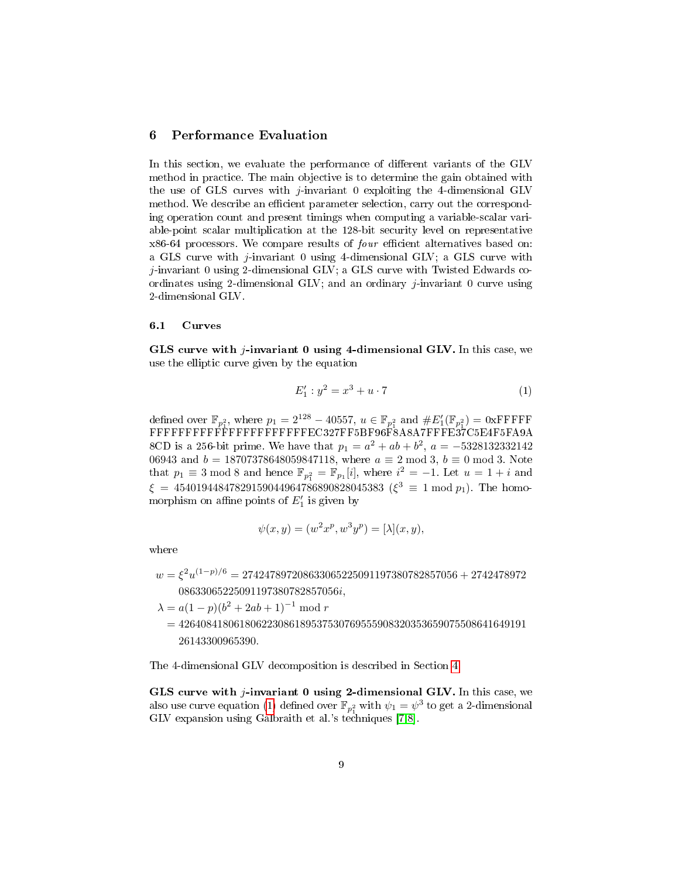## <span id="page-8-0"></span>6 Performance Evaluation

In this section, we evaluate the performance of different variants of the GLV method in practice. The main objective is to determine the gain obtained with the use of GLS curves with *j*-invariant 0 exploiting the 4-dimensional GLV method. We describe an efficient parameter selection, carry out the corresponding operation count and present timings when computing a variable-scalar variable-point scalar multiplication at the 128-bit security level on representative  $x86-64$  processors. We compare results of  $four$  efficient alternatives based on: a GLS curve with j-invariant 0 using 4-dimensional GLV; a GLS curve with j-invariant 0 using 2-dimensional GLV; a GLS curve with Twisted Edwards coordinates using 2-dimensional GLV; and an ordinary j-invariant 0 curve using 2-dimensional GLV.

#### <span id="page-8-2"></span>6.1 Curves

<span id="page-8-1"></span>GLS curve with  $j$ -invariant 0 using 4-dimensional GLV. In this case, we use the elliptic curve given by the equation

$$
E'_1: y^2 = x^3 + u \cdot 7 \tag{1}
$$

defined over  $\mathbb{F}_{p_1^2}$ , where  $p_1 = 2^{128} - 40557$ ,  $u \in \mathbb{F}_{p_1^2}$  and  $\#E'_1(\mathbb{F}_{p_1^2}) = 0$ xFFFFF FFFFFFFFFFFFFFFFFFFFFFEC327FF5BF96F8A8A7FFFE37C5E4F5FA9A 8CD is a 256-bit prime. We have that  $p_1 = a^2 + ab + b^2$ ,  $a = -5328132332142$ 06943 and  $b = 18707378648059847118$ , where  $a \equiv 2 \mod 3$ ,  $b \equiv 0 \mod 3$ . Note that  $p_1 \equiv 3 \mod 8$  and hence  $\mathbb{F}_{p_1^2} = \mathbb{F}_{p_1}[i]$ , where  $i^2 = -1$ . Let  $u = 1 + i$  and  $\xi = 45401944847829159044964786890828045383 \; (\xi^3 \equiv 1 \bmod p_1).$  The homomorphism on affine points of  $E'_1$  is given by

$$
\psi(x, y) = (w^2 x^p, w^3 y^p) = [\lambda](x, y),
$$

where

 $w=\xi^2 u^{(1-p)/6}=274247897208633065225091197380782857056+2742478972$ 08633065225091197380782857056i,

 $\lambda = a(1-p)(b^2 + 2ab + 1)^{-1} \mod r$ 

 $= 426408418061806223086189537530769555908320353659075508641649191$ 26143300965390.

The 4-dimensional GLV decomposition is described in Section [4.](#page-3-1)

GLS curve with  $j$ -invariant 0 using 2-dimensional GLV. In this case, we also use curve equation [\(1\)](#page-8-1) defined over  $\mathbb{F}_{p_1^2}$  with  $\psi_1 = \psi^3$  to get a 2-dimensional GLV expansion using Galbraith et al.'s techniques [\[7,](#page-14-2)[8\]](#page-14-3).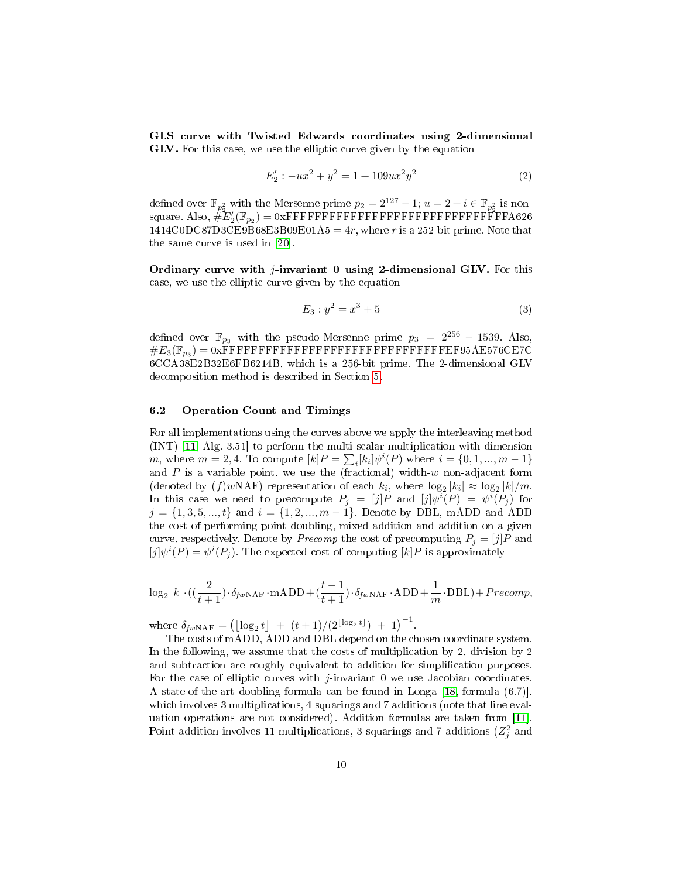GLS curve with Twisted Edwards coordinates using 2-dimensional GLV. For this case, we use the elliptic curve given by the equation

$$
E'_2: -ux^2 + y^2 = 1 + 109ux^2y^2 \tag{2}
$$

defined over  $\mathbb{F}_{p_2^2}$  with the Mersenne prime  $p_2 = 2^{127} - 1$ ;  $u = 2 + i \in \mathbb{F}_{p_2^2}$  is nonsquare. Also, #E<sup>0</sup> 2 (Fp<sup>2</sup> ) = 0xFFFFFFFFFFFFFFFFFFFFFFFFFFFFFFFA626  $1414 \text{CODC}87 \text{D3CE}9B68 \text{E3B}09 \text{E01A5} = 4r$ , where r is a 252-bit prime. Note that the same curve is used in [\[20\]](#page-14-4).

Ordinary curve with  $j$ -invariant 0 using 2-dimensional GLV. For this case, we use the elliptic curve given by the equation

$$
E_3: y^2 = x^3 + 5 \tag{3}
$$

defined over  $\mathbb{F}_{p_3}$  with the pseudo-Mersenne prime  $p_3 = 2^{256} - 1539$ . Also, #E3(Fp<sup>3</sup> ) = 0xFFFFFFFFFFFFFFFFFFFFFFFFFFFFFFFEF95AE576CE7C 6CCA38E2B32E6FB6214B, which is a 256-bit prime. The 2-dimensional GLV decomposition method is described in Section [5.](#page-7-0)

#### 6.2 Operation Count and Timings

For all implementations using the curves above we apply the interleaving method (INT) [\[11,](#page-14-14) Alg. 3.51] to perform the multi-scalar multiplication with dimension *m*, where  $m = 2, 4$ . To compute  $[k]P = \sum_{i} [k_i] \psi^{i}(P)$  where  $i = \{0, 1, ..., m - 1\}$ and  $P$  is a variable point, we use the (fractional) width-w non-adjacent form (denoted by  $(f)$ *wNAF*) representation of each  $k_i$ , where  $\log_2 |k_i| \approx \log_2 |k|/m$ . In this case we need to precompute  $P_j = [j]P$  and  $[j]\psi^i(P) = \psi^i(P_j)$  for  $j = \{1, 3, 5, ..., t\}$  and  $i = \{1, 2, ..., m - 1\}$ . Denote by DBL, mADD and ADD the cost of performing point doubling, mixed addition and addition on a given curve, respectively. Denote by *Precomp* the cost of precomputing  $P_i = [j]P$  and  $[j]\psi^{i}(P) = \psi^{i}(P_j)$ . The expected cost of computing  $[k]P$  is approximately

$$
\log_2 |k| \cdot ((\frac{2}{t+1}) \cdot \delta_{fw\text{-NAF}} \cdot \text{mADD} + (\frac{t-1}{t+1}) \cdot \delta_{fw\text{-NAF}} \cdot \text{ADD} + \frac{1}{m} \cdot \text{DBL}) + Precomp,
$$

where  $\delta_{fw\text{NAF}} = (\lfloor \log_2 t \rfloor + (t+1)/(2^{\lfloor \log_2 t \rfloor}) + 1)^{-1}$ .

The costs of mADD, ADD and DBL depend on the chosen coordinate system. In the following, we assume that the costs of multiplication by 2, division by 2 and subtraction are roughly equivalent to addition for simplification purposes. For the case of elliptic curves with  $j$ -invariant 0 we use Jacobian coordinates. A state-of-the-art doubling formula can be found in Longa [\[18,](#page-14-5) formula (6.7)], which involves 3 multiplications, 4 squarings and 7 additions (note that line evaluation operations are not considered). Addition formulas are taken from [\[11\]](#page-14-14). Point addition involves 11 multiplications, 3 squarings and 7 additions  $(Z_j^2$  and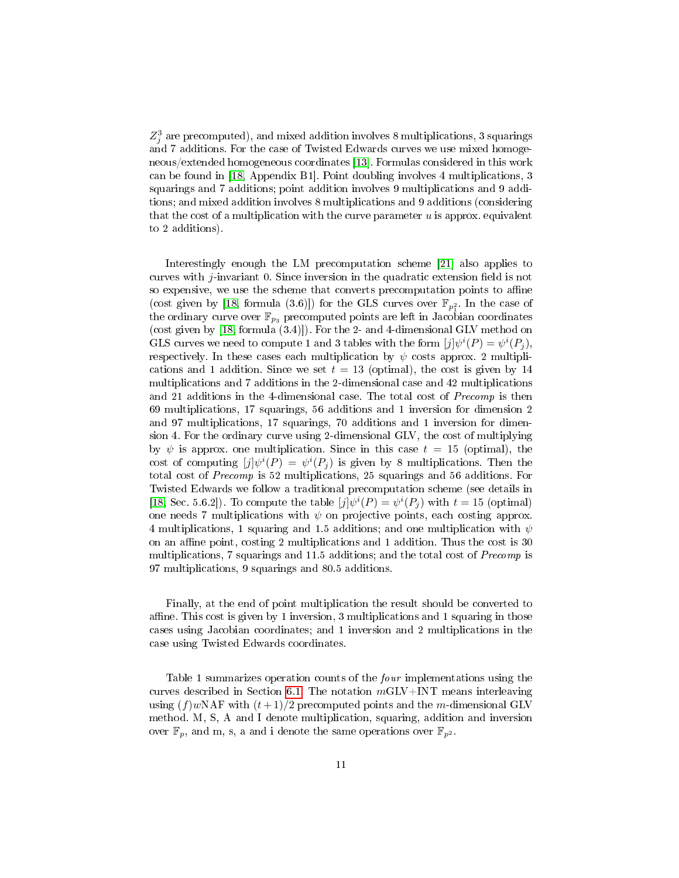$Z_j^3$  are precomputed), and mixed addition involves 8 multiplications, 3 squarings and 7 additions. For the case of Twisted Edwards curves we use mixed homogeneous/extended homogeneous coordinates [\[13\]](#page-14-15). Formulas considered in this work can be found in [\[18,](#page-14-5) Appendix B1]. Point doubling involves 4 multiplications, 3 squarings and 7 additions; point addition involves 9 multiplications and 9 additions; and mixed addition involves 8 multiplications and 9 additions (considering that the cost of a multiplication with the curve parameter  $u$  is approx. equivalent to 2 additions).

Interestingly enough the LM precomputation scheme [\[21\]](#page-14-16) also applies to curves with  $j$ -invariant 0. Since inversion in the quadratic extension field is not so expensive, we use the scheme that converts precomputation points to affine (cost given by [\[18,](#page-14-5) formula (3.6)]) for the GLS curves over  $\mathbb{F}_{p_1^2}$ . In the case of the ordinary curve over  $\mathbb{F}_{p_3}$  precomputed points are left in Jacobian coordinates (cost given by [\[18,](#page-14-5) formula (3.4)]). For the 2- and 4-dimensional GLV method on  $\text{GLS}$  curves we need to compute 1 and 3 tables with the form  $[j] \psi^i(P) = \psi^i(P_j),$ respectively. In these cases each multiplication by  $\psi$  costs approx. 2 multiplications and 1 addition. Since we set  $t = 13$  (optimal), the cost is given by 14 multiplications and 7 additions in the 2-dimensional case and 42 multiplications and 21 additions in the 4-dimensional case. The total cost of Precomp is then 69 multiplications, 17 squarings, 56 additions and 1 inversion for dimension 2 and 97 multiplications, 17 squarings, 70 additions and 1 inversion for dimension 4. For the ordinary curve using 2-dimensional GLV, the cost of multiplying by  $\psi$  is approx. one multiplication. Since in this case  $t = 15$  (optimal), the cost of computing  $[j] \psi^{i}(P) = \psi^{i}(P_j)$  is given by 8 multiplications. Then the total cost of Precomp is 52 multiplications, 25 squarings and 56 additions. For Twisted Edwards we follow a traditional precomputation scheme (see details in [\[18,](#page-14-5) Sec. 5.6.2]). To compute the table  $[j]\psi^{i}(P) = \psi^{i}(P_j)$  with  $t = 15$  (optimal) one needs 7 multiplications with  $\psi$  on projective points, each costing approx. 4 multiplications, 1 squaring and 1.5 additions; and one multiplication with  $\psi$ on an affine point, costing 2 multiplications and 1 addition. Thus the cost is  $30$ multiplications, 7 squarings and 11.5 additions; and the total cost of Precomp is 97 multiplications, 9 squarings and 80.5 additions.

Finally, at the end of point multiplication the result should be converted to affine. This cost is given by 1 inversion, 3 multiplications and 1 squaring in those cases using Jacobian coordinates; and 1 inversion and 2 multiplications in the case using Twisted Edwards coordinates.

Table 1 summarizes operation counts of the four implementations using the curves described in Section [6.1.](#page-8-2) The notation  $m\text{GLV}+\text{INT}$  means interleaving using  $(f)$ wNAF with  $(t+1)/2$  precomputed points and the m-dimensional GLV method. M, S, A and I denote multiplication, squaring, addition and inversion over  $\mathbb{F}_p$ , and m, s, a and i denote the same operations over  $\mathbb{F}_{p^2}$ .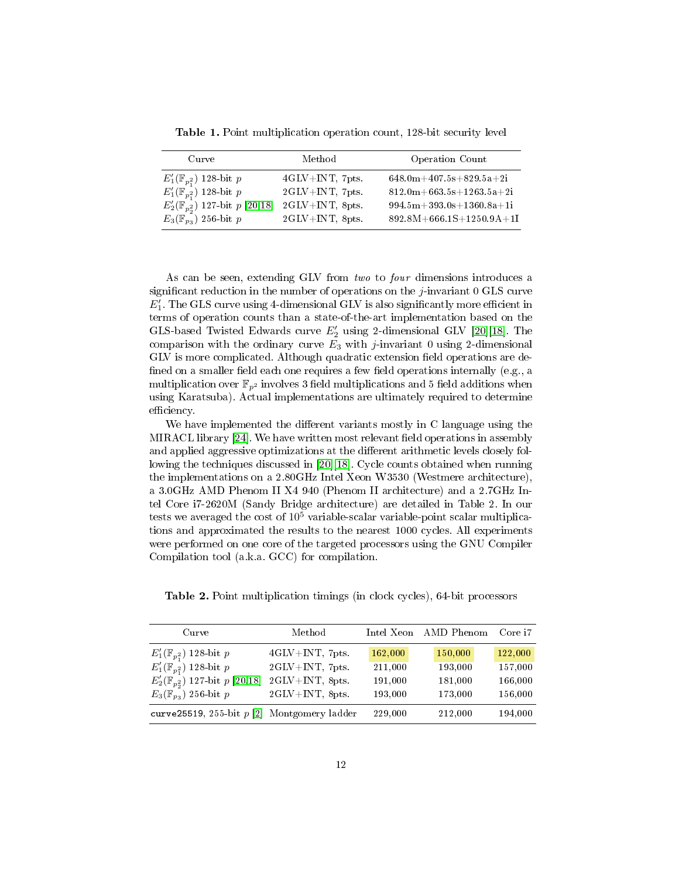Table 1. Point multiplication operation count, 128-bit security level

| $_{\rm Curve}$                                                    | Method                              | Operation Count                                          |
|-------------------------------------------------------------------|-------------------------------------|----------------------------------------------------------|
| $E'_1(\mathbb{F}_{p_1^2})$ 128-bit p                              | $4$ GLV $+$ INT, 7pts.              | $648.0 \text{m} + 407.5 \text{s} + 829.5 \text{a} + 21$  |
| $E'_1(\mathbb{F}_{p_1^2})$ 128-bit p                              | $2 \text{GLV} + \text{INT}$ , 7pts. | $812.0 \text{m} + 663.5 \text{s} + 1263.5 \text{a} + 21$ |
| $E_2'(\overline{\mathbb{F}}_{p_2^2}^{\cdot})$ 127-bit $p$ [20,18] | $2 \text{GLV} + \text{INT}$ , 8pts. | $994.5m+393.0s+1360.8a+11$                               |
| $E_3(\mathbb{F}_{p_3})$ 256-bit p                                 | $2GLV+INT$ , 8pts.                  | $892.8M + 666.1S + 1250.9A + 1I$                         |

As can be seen, extending GLV from two to four dimensions introduces a significant reduction in the number of operations on the  $j$ -invariant 0 GLS curve  $E_1'$ . The GLS curve using 4-dimensional GLV is also significantly more efficient in terms of operation counts than a state-of-the-art implementation based on the GLS-based Twisted Edwards curve  $E_2'$  using 2-dimensional GLV [\[20\]](#page-14-4)[\[18\]](#page-14-5). The comparison with the ordinary curve  $E_3$  with j-invariant 0 using 2-dimensional GLV is more complicated. Although quadratic extension field operations are defined on a smaller field each one requires a few field operations internally (e.g., a multiplication over  $\mathbb{F}_{p^2}$  involves 3 field multiplications and 5 field additions when using Karatsuba). Actual implementations are ultimately required to determine efficiency.

We have implemented the different variants mostly in C language using the MIRACL library  $[24]$ . We have written most relevant field operations in assembly and applied aggressive optimizations at the different arithmetic levels closely following the techniques discussed in [\[20\]](#page-14-4)[\[18\]](#page-14-5). Cycle counts obtained when running the implementations on a 2.80GHz Intel Xeon W3530 (Westmere architecture), a 3.0GHz AMD Phenom II X4 940 (Phenom II architecture) and a 2.7GHz Intel Core i7-2620M (Sandy Bridge architecture) are detailed in Table 2. In our tests we averaged the cost of  $10<sup>5</sup>$  variable-scalar variable-point scalar multiplications and approximated the results to the nearest 1000 cycles. All experiments were performed on one core of the targeted processors using the GNU Compiler Compilation tool (a.k.a. GCC) for compilation.

| Curve                                         | Method          |         | Intel Xeon AMD Phenom | Core i7 |
|-----------------------------------------------|-----------------|---------|-----------------------|---------|
| $E'_1(\mathbb{F}_{p_1^2})$ 128 bit p          | 4GLV+INT, 7pts. | 162,000 | 150,000               | 122,000 |
| $E'_1(\mathbb{F}_{p_1^2})$ 128-bit p          | 2GLV+INT, 7pts. | 211,000 | 193,000               | 157,000 |
| $E_2'(\mathbb{F}_{p_2})$ 127-bit p [20,18]    | 2GLV+INT, 8pts. | 191,000 | 181,000               | 166,000 |
| $E_3(\mathbb{F}_{p_3})$ 256 bit p             | 2GLV+INT, 8pts. | 193,000 | 173,000               | 156,000 |
| curve25519, 255-bit $p$ [2] Montgomery ladder |                 | 229.000 | 212,000               | 194,000 |

Table 2. Point multiplication timings (in clock cycles), 64-bit processors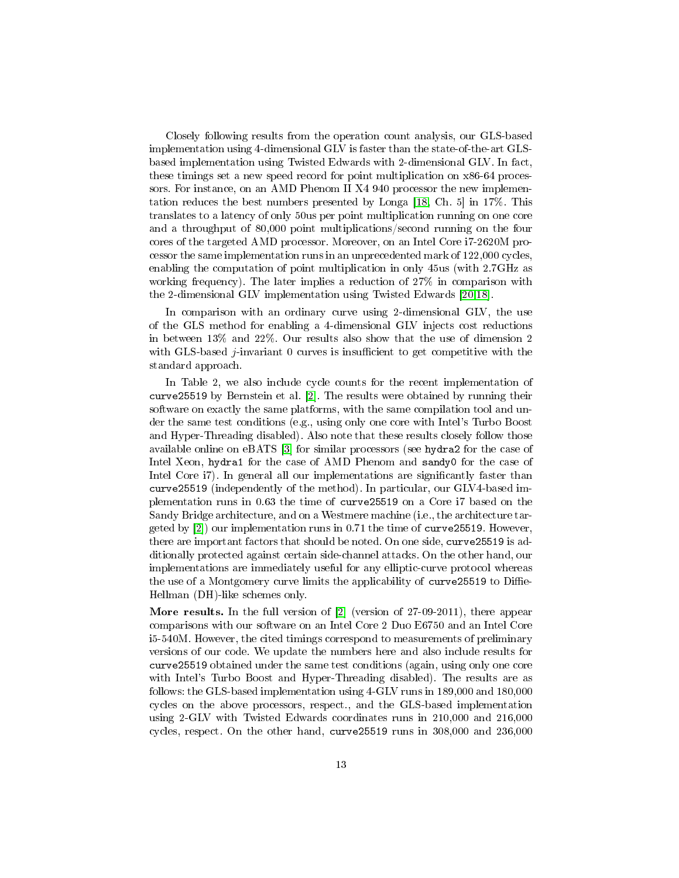Closely following results from the operation count analysis, our GLS-based implementation using 4-dimensional GLV is faster than the state-of-the-art GLSbased implementation using Twisted Edwards with 2-dimensional GLV. In fact, these timings set a new speed record for point multiplication on x86-64 processors. For instance, on an AMD Phenom II X4 940 processor the new implementation reduces the best numbers presented by Longa [\[18,](#page-14-5) Ch. 5] in 17%. This translates to a latency of only 50us per point multiplication running on one core and a throughput of 80,000 point multiplications/second running on the four cores of the targeted AMD processor. Moreover, on an Intel Core i7-2620M processor the same implementation runs in an unprecedented mark of 122,000 cycles, enabling the computation of point multiplication in only 45us (with 2.7GHz as working frequency). The later implies a reduction of 27% in comparison with the 2-dimensional GLV implementation using Twisted Edwards [\[20,](#page-14-4)[18\]](#page-14-5).

In comparison with an ordinary curve using 2-dimensional GLV, the use of the GLS method for enabling a 4-dimensional GLV injects cost reductions in between 13% and 22%. Our results also show that the use of dimension 2 with GLS-based *j*-invariant 0 curves is insufficient to get competitive with the standard approach.

In Table 2, we also include cycle counts for the recent implementation of curve25519 by Bernstein et al. [\[2\]](#page-13-2). The results were obtained by running their software on exactly the same platforms, with the same compilation tool and under the same test conditions (e.g., using only one core with Intel's Turbo Boost and Hyper-Threading disabled). Also note that these results closely follow those available online on eBATS [\[3\]](#page-13-4) for similar processors (see hydra2 for the case of Intel Xeon, hydra1 for the case of AMD Phenom and sandy0 for the case of Intel Core i7). In general all our implementations are significantly faster than curve25519 (independently of the method). In particular, our GLV4-based implementation runs in 0.63 the time of curve25519 on a Core i7 based on the Sandy Bridge architecture, and on a Westmere machine (i.e., the architecture targeted by [\[2\]](#page-13-2)) our implementation runs in 0.71 the time of curve25519. However, there are important factors that should be noted. On one side, curve25519 is additionally protected against certain side-channel attacks. On the other hand, our implementations are immediately useful for any elliptic-curve protocol whereas the use of a Montgomery curve limits the applicability of curve 25519 to Diffie-Hellman (DH)-like schemes only.

More results. In the full version of [\[2\]](#page-13-2) (version of 27-09-2011), there appear comparisons with our software on an Intel Core 2 Duo E6750 and an Intel Core i5-540M. However, the cited timings correspond to measurements of preliminary versions of our code. We update the numbers here and also include results for curve25519 obtained under the same test conditions (again, using only one core with Intel's Turbo Boost and Hyper-Threading disabled). The results are as follows: the GLS-based implementation using 4-GLV runs in 189,000 and 180,000 cycles on the above processors, respect., and the GLS-based implementation using 2-GLV with Twisted Edwards coordinates runs in 210,000 and 216,000 cycles, respect. On the other hand, curve25519 runs in 308,000 and 236,000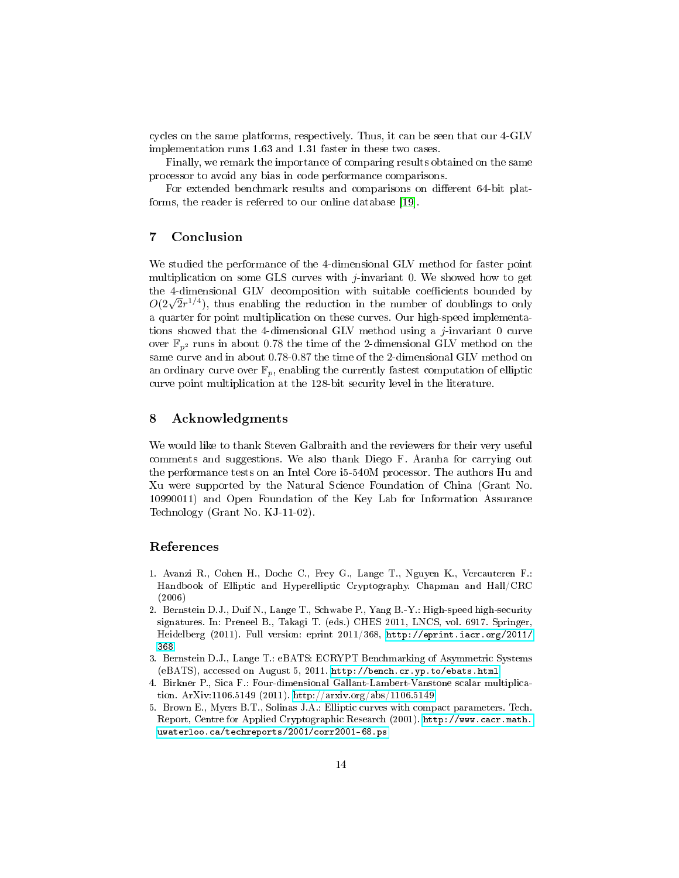cycles on the same platforms, respectively. Thus, it can be seen that our 4-GLV implementation runs 1.63 and 1.31 faster in these two cases.

Finally, we remark the importance of comparing results obtained on the same processor to avoid any bias in code performance comparisons.

For extended benchmark results and comparisons on different 64-bit platforms, the reader is referred to our online database [\[19\]](#page-14-18).

## <span id="page-13-3"></span>7 Conclusion

We studied the performance of the 4-dimensional GLV method for faster point multiplication on some GLS curves with j-invariant 0. We showed how to get the 4-dimensional GLV decomposition with suitable coefficients bounded by the 4-dimensional GLV decomposition with suitable coefficients bounded by  $O(2\sqrt{2}r^{1/4})$ , thus enabling the reduction in the number of doublings to only a quarter for point multiplication on these curves. Our high-speed implementations showed that the 4-dimensional GLV method using a  $j$ -invariant 0 curve over  $\mathbb{F}_{n^2}$  runs in about 0.78 the time of the 2-dimensional GLV method on the same curve and in about 0.78-0.87 the time of the 2-dimensional GLV method on an ordinary curve over  $\mathbb{F}_p$ , enabling the currently fastest computation of elliptic curve point multiplication at the 128-bit security level in the literature.

#### 8 Acknowledgments

We would like to thank Steven Galbraith and the reviewers for their very useful comments and suggestions. We also thank Diego F. Aranha for carrying out the performance tests on an Intel Core i5-540M processor. The authors Hu and Xu were supported by the Natural Science Foundation of China (Grant No. 10990011) and Open Foundation of the Key Lab for Information Assurance Technology (Grant No. KJ-11-02).

#### References

- 1. Avanzi R., Cohen H., Doche C., Frey G., Lange T., Nguyen K., Vercauteren F.: Handbook of Elliptic and Hyperelliptic Cryptography. Chapman and Hall/CRC (2006)
- <span id="page-13-2"></span>2. Bernstein D.J., Duif N., Lange T., Schwabe P., Yang B.-Y.: High-speed high-security signatures. In: Preneel B., Takagi T. (eds.) CHES 2011, LNCS, vol. 6917. Springer, Heidelberg (2011). Full version: eprint 2011/368, [http://eprint.iacr.org/2011/](http://eprint.iacr.org/2011/368) [368](http://eprint.iacr.org/2011/368)
- <span id="page-13-4"></span>3. Bernstein D.J., Lange T.: eBATS: ECRYPT Benchmarking of Asymmetric Systems (eBATS), accessed on August 5, 2011. <http://bench.cr.yp.to/ebats.html>
- <span id="page-13-0"></span>4. Birkner P., Sica F.: Four-dimensional Gallant-Lambert-Vanstone scalar multiplication. ArXiv:1106.5149 (2011).<http://arxiv.org/abs/1106.5149>
- <span id="page-13-1"></span>5. Brown E., Myers B.T., Solinas J.A.: Elliptic curves with compact parameters. Tech. Report, Centre for Applied Cryptographic Research (2001). [http://www.cacr.math.](http://www.cacr.math.uwaterloo.ca/techreports/2001/corr2001-68.ps) [uwaterloo.ca/techreports/2001/corr2001-68.ps](http://www.cacr.math.uwaterloo.ca/techreports/2001/corr2001-68.ps)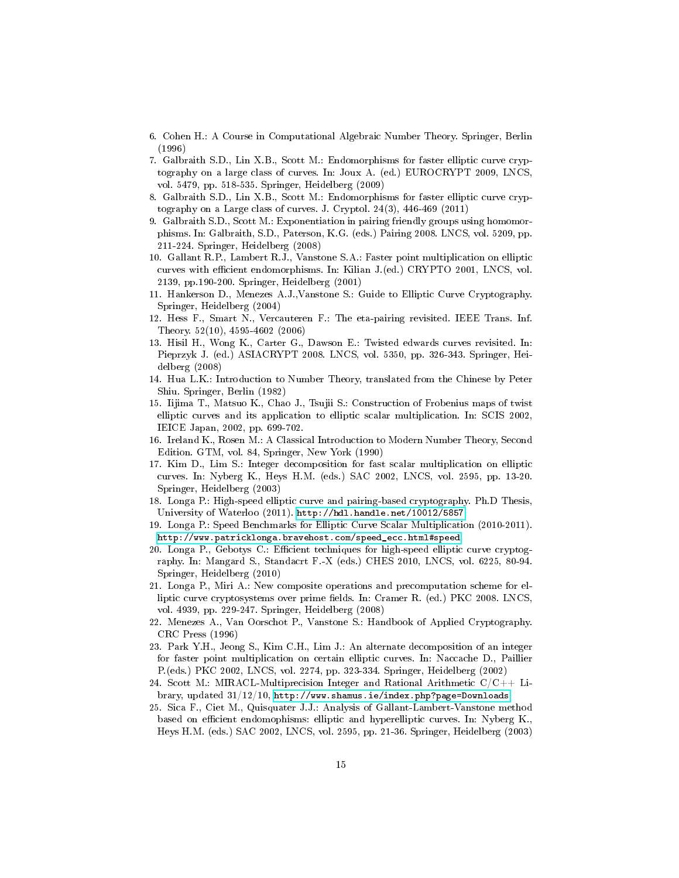- <span id="page-14-10"></span>6. Cohen H.: A Course in Computational Algebraic Number Theory. Springer, Berlin (1996)
- <span id="page-14-2"></span>7. Galbraith S.D., Lin X.B., Scott M.: Endomorphisms for faster elliptic curve cryptography on a large class of curves. In: Joux A. (ed.) EUROCRYPT 2009, LNCS, vol. 5479, pp. 518-535. Springer, Heidelberg (2009)
- <span id="page-14-3"></span>8. Galbraith S.D., Lin X.B., Scott M.: Endomorphisms for faster elliptic curve cryptography on a Large class of curves. J. Cryptol. 24(3), 446-469 (2011)
- <span id="page-14-9"></span>9. Galbraith S.D., Scott M.: Exponentiation in pairing friendly groups using homomorphisms. In: Galbraith, S.D., Paterson, K.G. (eds.) Pairing 2008. LNCS, vol. 5209, pp. 211-224. Springer, Heidelberg (2008)
- <span id="page-14-0"></span>10. Gallant R.P., Lambert R.J., Vanstone S.A.: Faster point multiplication on elliptic curves with efficient endomorphisms. In: Kilian J.(ed.) CRYPTO 2001, LNCS, vol. 2139, pp.190-200. Springer, Heidelberg (2001)
- <span id="page-14-14"></span>11. Hankerson D., Menezes A.J.,Vanstone S.: Guide to Elliptic Curve Cryptography. Springer, Heidelberg (2004)
- <span id="page-14-11"></span>12. Hess F., Smart N., Vercauteren F.: The eta-pairing revisited. IEEE Trans. Inf. Theory. 52(10), 4595-4602 (2006)
- <span id="page-14-15"></span>13. Hisil H., Wong K., Carter G., Dawson E.: Twisted edwards curves revisited. In: Pieprzyk J. (ed.) ASIACRYPT 2008. LNCS, vol. 5350, pp. 326-343. Springer, Heidelberg (2008)
- <span id="page-14-12"></span>14. Hua L.K.: Introduction to Number Theory, translated from the Chinese by Peter Shiu. Springer, Berlin (1982)
- <span id="page-14-1"></span>15. Iijima T., Matsuo K., Chao J., Tsujii S.: Construction of Frobenius maps of twist elliptic curves and its application to elliptic scalar multiplication. In: SCIS 2002, IEICE Japan, 2002, pp. 699-702.
- <span id="page-14-13"></span>16. Ireland K., Rosen M.: A Classical Introduction to Modern Number Theory, Second Edition. GTM, vol. 84, Springer, New York (1990)
- <span id="page-14-6"></span>17. Kim D., Lim S.: Integer decomposition for fast scalar multiplication on elliptic curves. In: Nyberg K., Heys H.M. (eds.) SAC 2002, LNCS, vol. 2595, pp. 13-20. Springer, Heidelberg (2003)
- <span id="page-14-5"></span>18. Longa P.: High-speed elliptic curve and pairing-based cryptography. Ph.D Thesis, University of Waterloo (2011). <http://hdl.handle.net/10012/5857>
- <span id="page-14-18"></span>19. Longa P.: Speed Benchmarks for Elliptic Curve Scalar Multiplication (2010-2011). [http://www.patricklonga.bravehost.com/speed\\_ecc.html#speed](http://www.patricklonga.bravehost.com/speed_ecc.html#speed)
- <span id="page-14-4"></span>20. Longa P., Gebotys C.: Efficient techniques for high-speed elliptic curve cryptography. In: Mangard S., Standacrt F.-X (eds.) CHES 2010, LNCS, vol. 6225, 80-94. Springer, Heidelberg (2010)
- <span id="page-14-16"></span>21. Longa P., Miri A.: New composite operations and precomputation scheme for elliptic curve cryptosystems over prime fields. In: Cramer R. (ed.) PKC 2008. LNCS, vol. 4939, pp. 229-247. Springer, Heidelberg (2008)
- 22. Menezes A., Van Oorschot P., Vanstone S.: Handbook of Applied Cryptography. CRC Press (1996)
- <span id="page-14-7"></span>23. Park Y.H., Jeong S., Kim C.H., Lim J.: An alternate decomposition of an integer for faster point multiplication on certain elliptic curves. In: Naccache D., Paillier P.(eds.) PKC 2002, LNCS, vol. 2274, pp. 323-334. Springer, Heidelberg (2002)
- <span id="page-14-17"></span>24. Scott M.: MIRACL-Multiprecision Integer and Rational Arithmetic C/C++ Library, updated 31/12/10, <http://www.shamus.ie/index.php?page=Downloads>
- <span id="page-14-8"></span>25. Sica F., Ciet M., Quisquater J.J.: Analysis of Gallant-Lambert-Vanstone method based on efficient endomophisms: elliptic and hyperelliptic curves. In: Nyberg K., Heys H.M. (eds.) SAC 2002, LNCS, vol. 2595, pp. 21-36. Springer, Heidelberg (2003)